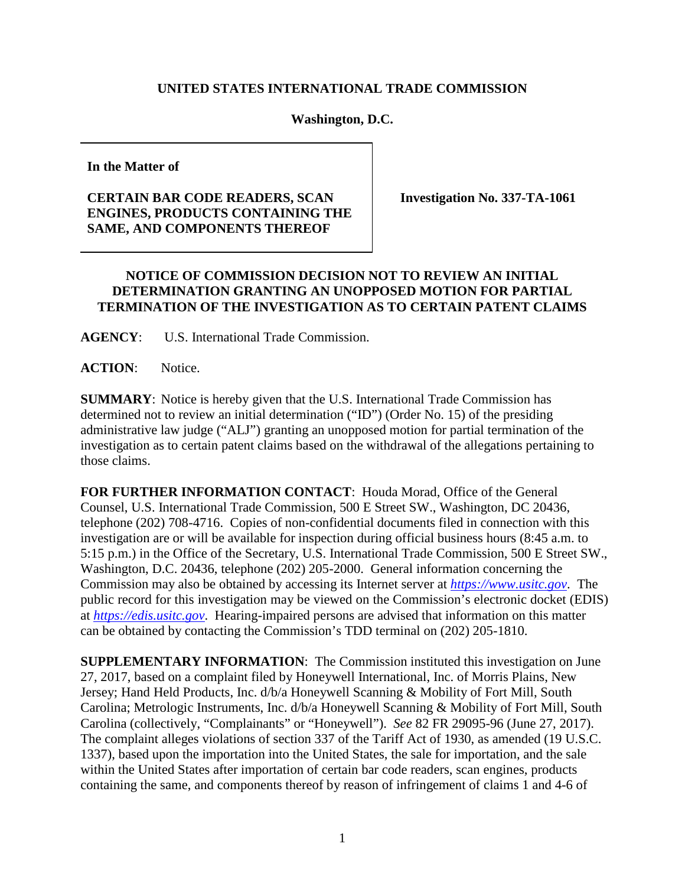## **UNITED STATES INTERNATIONAL TRADE COMMISSION**

## **Washington, D.C.**

**In the Matter of**

## **CERTAIN BAR CODE READERS, SCAN ENGINES, PRODUCTS CONTAINING THE SAME, AND COMPONENTS THEREOF**

**Investigation No. 337-TA-1061**

## **NOTICE OF COMMISSION DECISION NOT TO REVIEW AN INITIAL DETERMINATION GRANTING AN UNOPPOSED MOTION FOR PARTIAL TERMINATION OF THE INVESTIGATION AS TO CERTAIN PATENT CLAIMS**

**AGENCY**: U.S. International Trade Commission.

**ACTION**: Notice.

**SUMMARY**: Notice is hereby given that the U.S. International Trade Commission has determined not to review an initial determination ("ID") (Order No. 15) of the presiding administrative law judge ("ALJ") granting an unopposed motion for partial termination of the investigation as to certain patent claims based on the withdrawal of the allegations pertaining to those claims.

**FOR FURTHER INFORMATION CONTACT**: Houda Morad, Office of the General Counsel, U.S. International Trade Commission, 500 E Street SW., Washington, DC 20436, telephone (202) 708-4716. Copies of non-confidential documents filed in connection with this investigation are or will be available for inspection during official business hours (8:45 a.m. to 5:15 p.m.) in the Office of the Secretary, U.S. International Trade Commission, 500 E Street SW., Washington, D.C. 20436, telephone (202) 205-2000. General information concerning the Commission may also be obtained by accessing its Internet server at *[https://www.usitc.gov](https://www.usitc.gov/)*. The public record for this investigation may be viewed on the Commission's electronic docket (EDIS) at *[https://edis.usitc.gov](http://edis.usitc.gov/)*. Hearing-impaired persons are advised that information on this matter can be obtained by contacting the Commission's TDD terminal on (202) 205-1810.

**SUPPLEMENTARY INFORMATION**: The Commission instituted this investigation on June 27, 2017, based on a complaint filed by Honeywell International, Inc. of Morris Plains, New Jersey; Hand Held Products, Inc. d/b/a Honeywell Scanning & Mobility of Fort Mill, South Carolina; Metrologic Instruments, Inc. d/b/a Honeywell Scanning & Mobility of Fort Mill, South Carolina (collectively, "Complainants" or "Honeywell"). *See* 82 FR 29095-96 (June 27, 2017). The complaint alleges violations of section 337 of the Tariff Act of 1930, as amended (19 U.S.C. 1337), based upon the importation into the United States, the sale for importation, and the sale within the United States after importation of certain bar code readers, scan engines, products containing the same, and components thereof by reason of infringement of claims 1 and 4-6 of